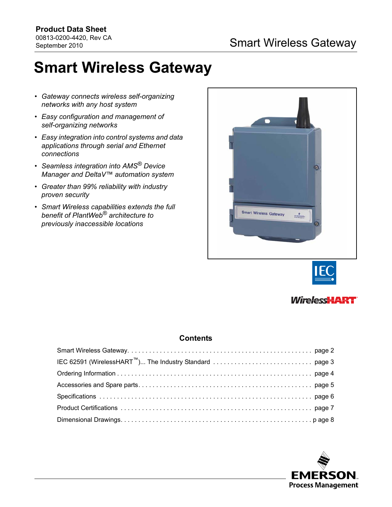# **Smart Wireless Gateway**

- *Gateway connects wireless self-organizing networks with any host system*
- *Easy configuration and management of self-organizing networks*
- *Easy integration into control systems and data applications through serial and Ethernet connections*
- *Seamless integration into AMS® Device Manager and DeltaV™ automation system*
- *Greater than 99% reliability with industry proven security*
- *Smart Wireless capabilities extends the full benefit of PlantWeb® architecture to previously inaccessible locations*







## **Contents**

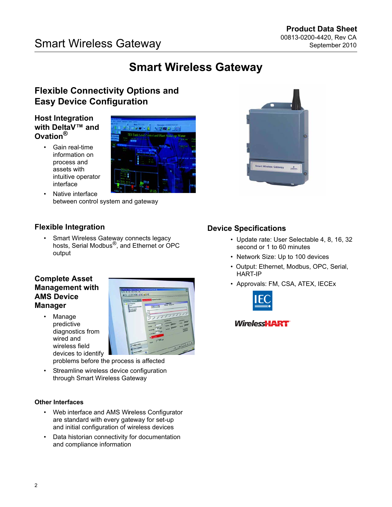# **Smart Wireless Gateway**

# <span id="page-1-0"></span>**Flexible Connectivity Options and Easy Device Configuration**

## **Host Integration with DeltaV™ and Ovation®**

• Gain real-time information on process and assets with intuitive operator interface



Native interface between control system and gateway

# **Flexible Integration**

• Smart Wireless Gateway connects legacy hosts, Serial Modbus®, and Ethernet or OPC output

## **Complete Asset Management with AMS Device Manager**

• Manage predictive diagnostics from wired and wireless field devices to identify



problems before the process is affected

Streamline wireless device configuration through Smart Wireless Gateway

## **Other Interfaces**

- Web interface and AMS Wireless Configurator are standard with every gateway for set-up and initial configuration of wireless devices
- Data historian connectivity for documentation and compliance information



- Update rate: User Selectable 4, 8, 16, 32 second or 1 to 60 minutes
- Network Size: Up to 100 devices

**Irt Wireless Gatewa** 

- Output: Ethernet, Modbus, OPC, Serial, HART-IP
- Approvals: FM, CSA, ATEX, IECEx



## **WirelessHART**

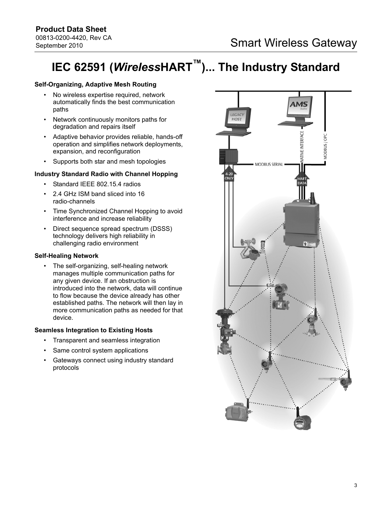# <span id="page-2-0"></span>**IEC 62591 (***Wireless***HART™)... The Industry Standard**

## **Self-Organizing, Adaptive Mesh Routing**

- No wireless expertise required, network automatically finds the best communication paths
- Network continuously monitors paths for degradation and repairs itself
- Adaptive behavior provides reliable, hands-off operation and simplifies network deployments, expansion, and reconfiguration
- Supports both star and mesh topologies

## **Industry Standard Radio with Channel Hopping**

- Standard IEEE 802.15.4 radios
- 2.4 GHz ISM band sliced into 16 radio-channels
- Time Synchronized Channel Hopping to avoid interference and increase reliability
- Direct sequence spread spectrum (DSSS) technology delivers high reliability in challenging radio environment

## **Self-Healing Network**

• The self-organizing, self-healing network manages multiple communication paths for any given device. If an obstruction is introduced into the network, data will continue to flow because the device already has other established paths. The network will then lay in more communication paths as needed for that device.

## **Seamless Integration to Existing Hosts**

- Transparent and seamless integration
- Same control system applications
- Gateways connect using industry standard protocols

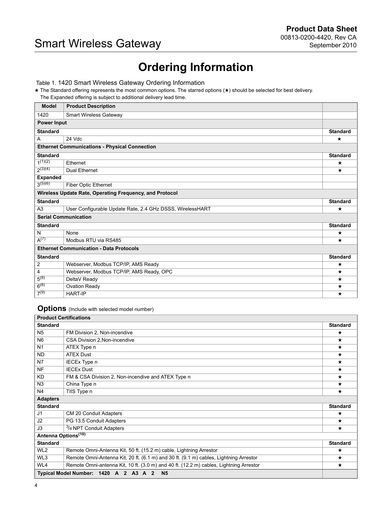# **Ordering Information**

<span id="page-3-0"></span>Table 1. 1420 Smart Wireless Gateway Ordering Information

★ The Standard offering represents the most common options. The starred options (★) should be selected for best delivery.

The Expanded offering is subject to additional delivery lead time.

| <b>Model</b>                                            | <b>Product Description</b>                                |                 |  |  |
|---------------------------------------------------------|-----------------------------------------------------------|-----------------|--|--|
| 1420                                                    | <b>Smart Wireless Gateway</b>                             |                 |  |  |
| <b>Power Input</b>                                      |                                                           |                 |  |  |
| <b>Standard</b>                                         |                                                           | <b>Standard</b> |  |  |
| A                                                       | 24 Vdc                                                    | $\star$         |  |  |
| <b>Ethernet Communications - Physical Connection</b>    |                                                           |                 |  |  |
| <b>Standard</b>                                         |                                                           | <b>Standard</b> |  |  |
| $1^{(1)(2)}$                                            | Ethernet                                                  | ★               |  |  |
| $2^{(3)(4)}$                                            | Dual Ethernet                                             | $\star$         |  |  |
| <b>Expanded</b>                                         |                                                           |                 |  |  |
| $3^{(5)(6)}$                                            | Fiber Optic Ethernet                                      |                 |  |  |
| Wireless Update Rate, Operating Frequency, and Protocol |                                                           |                 |  |  |
| <b>Standard</b>                                         |                                                           | <b>Standard</b> |  |  |
| A <sub>3</sub>                                          | User Configurable Update Rate, 2.4 GHz DSSS, WirelessHART | ★               |  |  |
| <b>Serial Communication</b>                             |                                                           |                 |  |  |
| <b>Standard</b>                                         |                                                           | <b>Standard</b> |  |  |
| N                                                       | None                                                      | $\star$         |  |  |
| $A^{(7)}$                                               | Modbus RTU via RS485                                      | ★               |  |  |
| <b>Ethernet Communication - Data Protocols</b>          |                                                           |                 |  |  |
| <b>Standard</b>                                         |                                                           | <b>Standard</b> |  |  |
| $\overline{2}$                                          | Webserver, Modbus TCP/IP, AMS Ready                       | $\star$         |  |  |
| $\overline{\mathbf{4}}$                                 | Webserver, Modbus TCP/IP, AMS Ready, OPC                  | $^\star$        |  |  |
| $5^{(8)}$                                               | DeltaV Ready                                              | $\star$         |  |  |
| $6^{(8)}$                                               | Ovation Ready                                             | $\star$         |  |  |
| $7^{(9)}$                                               | <b>HART-IP</b>                                            | $\star$         |  |  |

**Options** (Include with selected model number)

| <b>Product Certifications</b>   |                                                                                        |                 |
|---------------------------------|----------------------------------------------------------------------------------------|-----------------|
| <b>Standard</b>                 |                                                                                        | <b>Standard</b> |
| N <sub>5</sub>                  | FM Division 2, Non-incendive                                                           | $\star$         |
| N <sub>6</sub>                  | CSA Division 2, Non-incendive                                                          | $\star$         |
| N <sub>1</sub>                  | ATEX Type n                                                                            | $\star$         |
| <b>ND</b>                       | <b>ATEX Dust</b>                                                                       | $\star$         |
| N7                              | IECEx Type n                                                                           | $\star$         |
| <b>NF</b>                       | <b>IECEx Dust</b>                                                                      | $\star$         |
| <b>KD</b>                       | FM & CSA Division 2, Non-incendive and ATEX Type n                                     | $\star$         |
| N <sub>3</sub>                  | China Type n                                                                           | $\star$         |
| N4                              | TIIS Type n                                                                            | $\star$         |
| <b>Adapters</b>                 |                                                                                        |                 |
| <b>Standard</b>                 |                                                                                        | <b>Standard</b> |
| J1                              | CM 20 Conduit Adapters                                                                 | $\star$         |
| J <sub>2</sub>                  | PG 13.5 Conduit Adapters                                                               | $\star$         |
| J3                              | <sup>3</sup> /4 NPT Conduit Adapters                                                   | $\star$         |
| Antenna Options <sup>(10)</sup> |                                                                                        |                 |
| <b>Standard</b>                 |                                                                                        | <b>Standard</b> |
| WL <sub>2</sub>                 | Remote Omni-Antenna Kit, 50 ft. (15.2 m) cable, Lightning Arrestor                     | $\star$         |
| WL3                             | Remote Omni-Antenna Kit, 20 ft. (6.1 m) and 30 ft. (9.1 m) cables, Lightning Arrestor  | $\star$         |
| WL4                             | Remote Omni-antenna Kit, 10 ft. (3.0 m) and 40 ft. (12.2 m) cables, Lightning Arrestor | $\star$         |
|                                 | Typical Model Number: 1420 A 2 A3 A 2<br>N <sub>5</sub>                                |                 |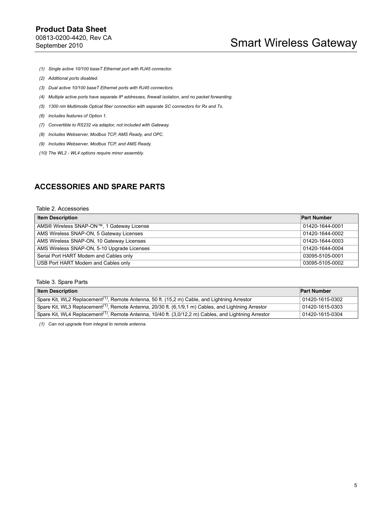- *(1) Single active 10/100 baseT Ethernet port with RJ45 connector.*
- *(2) Additional ports disabled.*
- *(3) Dual active 10/100 baseT Ethernet ports with RJ45 connectors.*
- *(4) Multiple active ports have separate IP addresses, firewall isolation, and no packet forwarding.*
- *(5) 1300 nm Multimode Optical fiber connection with separate SC connectors for Rx and Tx.*
- *(6) Includes features of Option 1.*
- *(7) Convertible to RS232 via adaptor, not included with Gateway.*
- <span id="page-4-1"></span>*(8) Includes Webserver, Modbus TCP, AMS Ready, and OPC.*
- *(9) Includes Webserver, Modbus TCP, and AMS Ready.*
- *(10) The WL2 WL4 options require minor assembly.*

## <span id="page-4-0"></span>**ACCESSORIES AND SPARE PARTS**

#### Table 2. Accessories

| <b>Item Description</b>                     | <b>Part Number</b> |
|---------------------------------------------|--------------------|
| AMS® Wireless SNAP-ON™, 1 Gateway License   | 01420-1644-0001    |
| AMS Wireless SNAP-ON, 5 Gateway Licenses    | 01420-1644-0002    |
| AMS Wireless SNAP-ON, 10 Gateway Licenses   | 01420-1644-0003    |
| AMS Wireless SNAP-ON, 5-10 Upgrade Licenses | 01420-1644-0004    |
| Serial Port HART Modem and Cables only      | 03095-5105-0001    |
| USB Port HART Modem and Cables only         | 03095-5105-0002    |

### Table 3. Spare Parts

| <b>Item Description</b>                                                                                           | <b>Part Number</b> |
|-------------------------------------------------------------------------------------------------------------------|--------------------|
| Spare Kit, WL2 Replacement <sup>(1)</sup> , Remote Antenna, 50 ft. (15,2 m) Cable, and Lightning Arrestor         | 01420-1615-0302    |
| Spare Kit, WL3 Replacement <sup>(1)</sup> , Remote Antenna, 20/30 ft. (6,1/9,1 m) Cables, and Lightning Arrestor  | 01420-1615-0303    |
| Spare Kit, WL4 Replacement <sup>(1)</sup> , Remote Antenna, 10/40 ft. (3,0/12,2 m) Cables, and Lightning Arrestor | 01420-1615-0304    |

<span id="page-4-2"></span>*(1) Can not upgrade from integral to remote antenna.*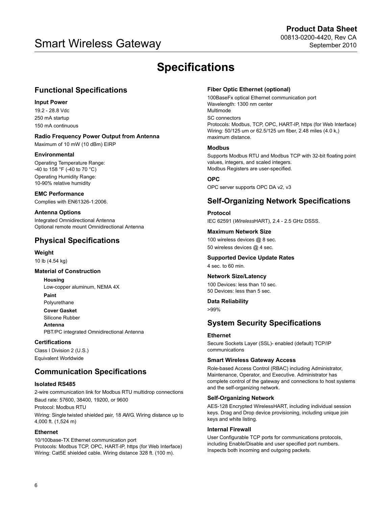# <span id="page-5-0"></span>00813-0200-4420, Rev CA Smart Wireless Gateway September 2010

# **Specifications**

# **Functional Specifications**

## **Input Power**

19.2 - 28.8 Vdc 250 mA startup 150 mA continuous

**Radio Frequency Power Output from Antenna** Maximum of 10 mW (10 dBm) EIRP

### **Environmental**

Operating Temperature Range: -40 to 158 °F (-40 to 70 °C) Operating Humidity Range: 10-90% relative humidity

**EMC Performance** Complies with EN61326-1:2006.

**Antenna Options** Integrated Omnidirectional Antenna Optional remote mount Omnidirectional Antenna

# **Physical Specifications**

**Weight** 10 lb (4.54 kg)

## **Material of Construction**

**Housing** Low-copper aluminum, NEMA 4X **Paint**

Polyurethane

**Cover Gasket** Silicone Rubber **Antenna**

PBT/PC integrated Omnidirectional Antenna

## **Certifications**

Class I Division 2 (U.S.) Equivalent Worldwide

## **Communication Specifications**

### **Isolated RS485**

2-wire communication link for Modbus RTU multidrop connections Baud rate: 57600, 38400, 19200, or 9600

Protocol: Modbus RTU

Wiring: Single twisted shielded pair, 18 AWG. Wiring distance up to 4,000 ft. (1,524 m)

## **Ethernet**

10/100base-TX Ethernet communication port Protocols: Modbus TCP, OPC, HART-IP, https (for Web Interface) Wiring: Cat5E shielded cable. Wiring distance 328 ft. (100 m).

### **Fiber Optic Ethernet (optional)**

100BaseFx optical Ethernet communication port Wavelength: 1300 nm center Multimode SC connectors Protocols: Modbus, TCP, OPC, HART-IP, https (for Web Interface) Wiring: 50/125 um or 62.5/125 um fiber, 2.48 miles (4.0 k,) maximum distance.

### **Modbus**

Supports Modbus RTU and Modbus TCP with 32-bit floating point values, integers, and scaled integers. Modbus Registers are user-specified.

### **OPC**

OPC server supports OPC DA v2, v3

# **Self-Organizing Network Specifications**

**Protocol**  IEC 62591 (*Wireless*HART), 2.4 - 2.5 GHz DSSS.

## **Maximum Network Size**

100 wireless devices @ 8 sec. 50 wireless devices @ 4 sec.

### **Supported Device Update Rates**

4 sec. to 60 min.

## **Network Size/Latency**

100 Devices: less than 10 sec. 50 Devices: less than 5 sec.

## **Data Reliability**

>99%

## **System Security Specifications**

### **Ethernet**

Secure Sockets Layer (SSL)- enabled (default) TCP/IP communications

### **Smart Wireless Gateway Access**

Role-based Access Control (RBAC) including Administrator, Maintenance, Operator, and Executive. Administrator has complete control of the gateway and connections to host systems and the self-organizing network.

### **Self-Organizing Network**

AES-128 Encrypted WirelessHART, including individual session keys. Drag and Drop device provisioning, including unique join keys and white listing.

## **Internal Firewall**

User Configurable TCP ports for communications protocols, including Enable/Disable and user specified port numbers. Inspects both incoming and outgoing packets.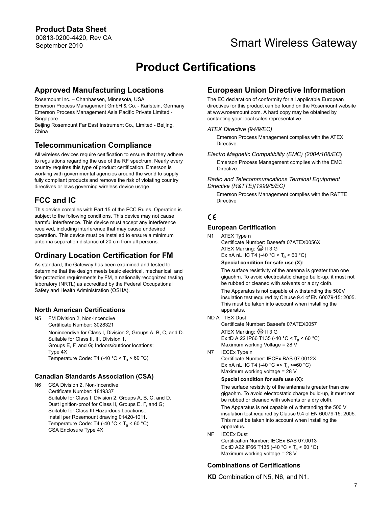# **Product Certifications**

## <span id="page-6-0"></span>**Approved Manufacturing Locations**

Rosemount Inc. – Chanhassen, Minnesota, USA

Emerson Process Management GmbH & Co. - Karlstein, Germany Emerson Process Management Asia Pacific Private Limited - **Singapore** 

Beijing Rosemount Far East Instrument Co., Limited - Beijing, China

# **Telecommunication Compliance**

All wireless devices require certification to ensure that they adhere to regulations regarding the use of the RF spectrum. Nearly every country requires this type of product certification. Emerson is working with governmental agencies around the world to supply fully compliant products and remove the risk of violating country directives or laws governing wireless device usage.

# **FCC and IC**

This device complies with Part 15 of the FCC Rules. Operation is subject to the following conditions. This device may not cause harmful interference. This device must accept any interference received, including interference that may cause undesired operation. This device must be installed to ensure a minimum antenna separation distance of 20 cm from all persons.

# **Ordinary Location Certification for FM**

As standard, the Gateway has been examined and tested to determine that the design meets basic electrical, mechanical, and fire protection requirements by FM, a nationally recognized testing laboratory (NRTL) as accredited by the Federal Occupational Safety and Health Administration (OSHA).

## **North American Certifications**

N5 FM Division 2, Non-Incendive Certificate Number: 3028321 Nonincendive for Class I, Division 2, Groups A, B, C, and D. Suitable for Class II, III, Division 1, Groups E, F, and G; Indoors/outdoor locations; Type 4X Temperature Code: T4 (-40  $^{\circ}$ C < T<sub>a</sub> < 60  $^{\circ}$ C)

## **Canadian Standards Association (CSA)**

N6 CSA Division 2, Non-Incendive Certificate Number: 1849337 Suitable for Class I, Division 2, Groups A, B, C, and D. Dust Ignition-proof for Class II, Groups E, F, and G; Suitable for Class III Hazardous Locations.; Install per Rosemount drawing 01420-1011. Temperature Code: T4 (-40  $^{\circ}$ C < T<sub>a</sub> < 60  $^{\circ}$ C) CSA Enclosure Type 4X

# **European Union Directive Information**

The EC declaration of conformity for all applicable European directives for this product can be found on the Rosemount website at www.rosemount.com. A hard copy may be obtained by contacting your local sales representative.

### *ATEX Directive (94/9/EC)*

Emerson Process Management complies with the ATEX **Directive** 

*Electro Magnetic Compatibility (EMC) (2004/108/EC***)** Emerson Process Management complies with the EMC Directive.

*Radio and Telecommunications Terminal Equipment Directive (R&TTE)(1999/5/EC)*

Emerson Process Management complies with the R&TTE **Directive** 

# CE

## **European Certification**

N1 ATEX Type n Certificate Number: Baseefa 07ATEX0056X ATEX Marking:  $\textcircled{\tiny{\textcircled{\tiny{M}}}}$  II 3 G Ex nA nL IIC T4 (-40  $^{\circ}$ C < T<sub>a</sub> < 60  $^{\circ}$ C)

**Special condition for safe use (X):**

The surface resistivity of the antenna is greater than one gigaohm. To avoid electrostatic charge build-up, it must not be rubbed or cleaned with solvents or a dry cloth.

The Apparatus is not capable of withstanding the 500V insulation test required by Clause 9.4 of EN 60079-15: 2005. This must be taken into account when installing the apparatus.

ND A TEX Dust

Certificate Number: Baseefa 07ATEX0057 ATEX Marking:  $\textcircled{\tiny{\textcircled{\tiny \&}}}$  II 3 G Ex tD A 22 IP66 T135 (-40 °C < T<sub>a</sub> < 60 °C) Maximum working Voltage = 28 V

N7 IECEx Type n

Certificate Number: IECEx BAS 07.0012X Ex nA nL IIC T4 (-40  $^{\circ}$ C =< T<sub>a</sub> <=60  $^{\circ}$ C) Maximum working voltage = 28 V

### **Special condition for safe use (X):**

The surface resistivity of the antenna is greater than one gigaohm. To avoid electrostatic charge build-up, it must not be rubbed or cleaned with solvents or a dry cloth.

The Apparatus is not capable of withstanding the 500 V insulation test required by Clause 9.4 of EN 60079-15: 2005. This must be taken into account when installing the apparatus.

NF IECEx Dust Certification Number: IECEx BAS 07.0013 Ex tD A22 IP66 T135 (-40 °C < T<sub>a</sub> < 60 °C) Maximum working voltage = 28  $\overline{V}$ 

## **Combinations of Certifications**

**KD** Combination of N5, N6, and N1.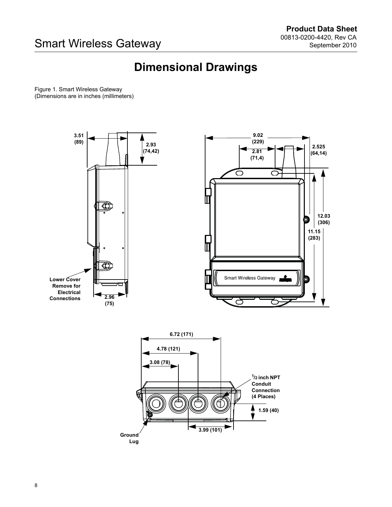# **Dimensional Drawings**

<span id="page-7-0"></span>Figure 1. Smart Wireless Gateway (Dimensions are in inches (millimeters)

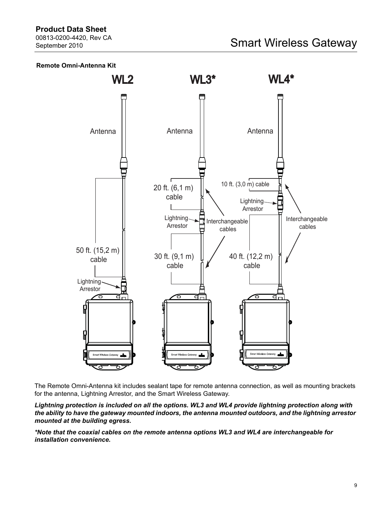## **Product Data Sheet**

00813-0200-4420, Rev CA September 2010

## **Remote Omni-Antenna Kit**



The Remote Omni-Antenna kit includes sealant tape for remote antenna connection, as well as mounting brackets for the antenna, Lightning Arrestor, and the Smart Wireless Gateway.

*Lightning protection is included on all the options. WL3 and WL4 provide lightning protection along with the ability to have the gateway mounted indoors, the antenna mounted outdoors, and the lightning arrestor mounted at the building egress.*

*\*Note that the coaxial cables on the remote antenna options WL3 and WL4 are interchangeable for installation convenience.*